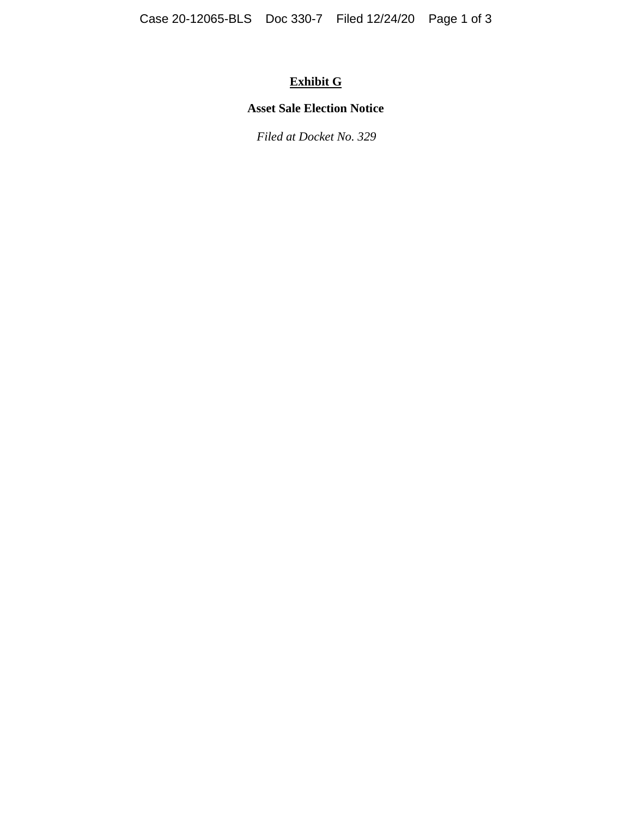# **Exhibit G**

## **Asset Sale Election Notice**

*Filed at Docket No. 329*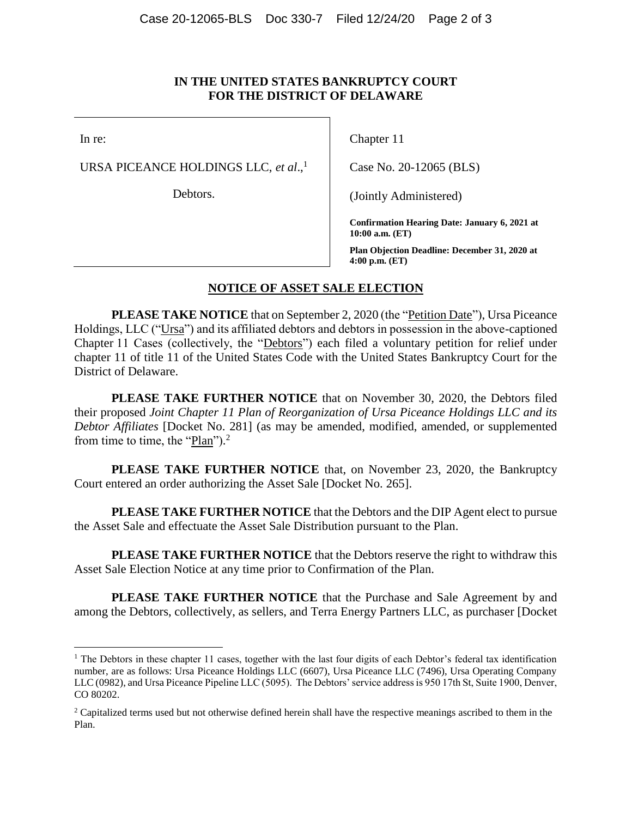#### **IN THE UNITED STATES BANKRUPTCY COURT FOR THE DISTRICT OF DELAWARE**

In re:

URSA PICEANCE HOLDINGS LLC, *et al*., 1

Debtors.

Chapter 11

Case No. 20-12065 (BLS)

(Jointly Administered)

**Confirmation Hearing Date: January 6, 2021 at 10:00 a.m. (ET)**

**Plan Objection Deadline: December 31, 2020 at 4:00 p.m. (ET)**

#### **NOTICE OF ASSET SALE ELECTION**

**PLEASE TAKE NOTICE** that on September 2, 2020 (the "Petition Date"), Ursa Piceance Holdings, LLC ("Ursa") and its affiliated debtors and debtors in possession in the above-captioned Chapter 11 Cases (collectively, the "Debtors") each filed a voluntary petition for relief under chapter 11 of title 11 of the United States Code with the United States Bankruptcy Court for the District of Delaware.

**PLEASE TAKE FURTHER NOTICE** that on November 30, 2020, the Debtors filed their proposed *Joint Chapter 11 Plan of Reorganization of Ursa Piceance Holdings LLC and its Debtor Affiliates* [Docket No. 281] (as may be amended, modified, amended, or supplemented from time to time, the " $Plan$ ").<sup>2</sup>

**PLEASE TAKE FURTHER NOTICE** that, on November 23, 2020, the Bankruptcy Court entered an order authorizing the Asset Sale [Docket No. 265].

**PLEASE TAKE FURTHER NOTICE** that the Debtors and the DIP Agent elect to pursue the Asset Sale and effectuate the Asset Sale Distribution pursuant to the Plan.

**PLEASE TAKE FURTHER NOTICE** that the Debtors reserve the right to withdraw this Asset Sale Election Notice at any time prior to Confirmation of the Plan.

**PLEASE TAKE FURTHER NOTICE** that the Purchase and Sale Agreement by and among the Debtors, collectively, as sellers, and Terra Energy Partners LLC, as purchaser [Docket

<sup>&</sup>lt;sup>1</sup> The Debtors in these chapter 11 cases, together with the last four digits of each Debtor's federal tax identification number, are as follows: Ursa Piceance Holdings LLC (6607), Ursa Piceance LLC (7496), Ursa Operating Company LLC (0982), and Ursa Piceance Pipeline LLC (5095). The Debtors' service address is 950 17th St, Suite 1900, Denver, CO 80202.

<sup>&</sup>lt;sup>2</sup> Capitalized terms used but not otherwise defined herein shall have the respective meanings ascribed to them in the Plan.